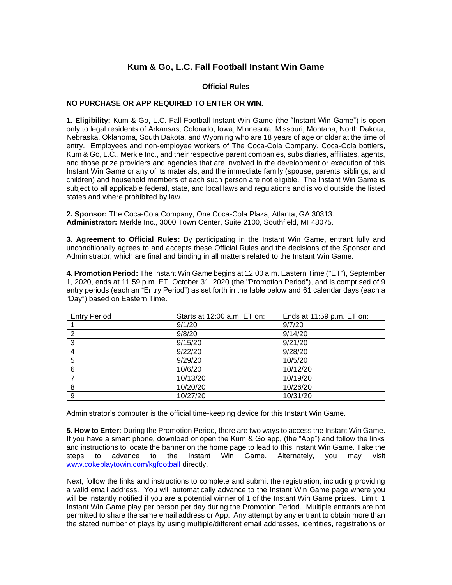## **Kum & Go, L.C. Fall Football Instant Win Game**

## **Official Rules**

## **NO PURCHASE OR APP REQUIRED TO ENTER OR WIN.**

**1. Eligibility:** Kum & Go, L.C. Fall Football Instant Win Game (the "Instant Win Game") is open only to legal residents of Arkansas, Colorado, Iowa, Minnesota, Missouri, Montana, North Dakota, Nebraska, Oklahoma, South Dakota, and Wyoming who are 18 years of age or older at the time of entry. Employees and non-employee workers of The Coca-Cola Company, Coca-Cola bottlers, Kum & Go, L.C., Merkle Inc., and their respective parent companies, subsidiaries, affiliates, agents, and those prize providers and agencies that are involved in the development or execution of this Instant Win Game or any of its materials, and the immediate family (spouse, parents, siblings, and children) and household members of each such person are not eligible. The Instant Win Game is subject to all applicable federal, state, and local laws and regulations and is void outside the listed states and where prohibited by law.

**2. Sponsor:** The Coca-Cola Company, One Coca-Cola Plaza, Atlanta, GA 30313. **Administrator:** Merkle Inc., 3000 Town Center, Suite 2100, Southfield, MI 48075.

**3. Agreement to Official Rules:** By participating in the Instant Win Game, entrant fully and unconditionally agrees to and accepts these Official Rules and the decisions of the Sponsor and Administrator, which are final and binding in all matters related to the Instant Win Game.

**4. Promotion Period:** The Instant Win Game begins at 12:00 a.m. Eastern Time ("ET"), September 1, 2020, ends at 11:59 p.m. ET, October 31, 2020 (the "Promotion Period"), and is comprised of 9 entry periods (each an "Entry Period") as set forth in the table below and 61 calendar days (each a "Day") based on Eastern Time.

| <b>Entry Period</b> | Starts at 12:00 a.m. ET on: | Ends at 11:59 p.m. ET on: |
|---------------------|-----------------------------|---------------------------|
|                     | 9/1/20                      | 9/7/20                    |
| 2                   | 9/8/20                      | 9/14/20                   |
| 3                   | 9/15/20                     | 9/21/20                   |
| 4                   | 9/22/20                     | 9/28/20                   |
| 5                   | 9/29/20                     | 10/5/20                   |
| 6                   | 10/6/20                     | 10/12/20                  |
|                     | 10/13/20                    | 10/19/20                  |
| 8                   | 10/20/20                    | 10/26/20                  |
| 9                   | 10/27/20                    | 10/31/20                  |

Administrator's computer is the official time-keeping device for this Instant Win Game.

**5. How to Enter:** During the Promotion Period, there are two ways to access the Instant Win Game. If you have a smart phone, download or open the Kum & Go app, (the "App") and follow the links and instructions to locate the banner on the home page to lead to this Instant Win Game. Take the steps to advance to the Instant Win Game. Alternately, you may visit [www.cokeplaytowin.com/kgfootball](http://www.cokeplaytowin.com/kgfootball) directly.

Next, follow the links and instructions to complete and submit the registration, including providing a valid email address. You will automatically advance to the Instant Win Game page where you will be instantly notified if you are a potential winner of 1 of the Instant Win Game prizes. Limit: 1 Instant Win Game play per person per day during the Promotion Period. Multiple entrants are not permitted to share the same email address or App. Any attempt by any entrant to obtain more than the stated number of plays by using multiple/different email addresses, identities, registrations or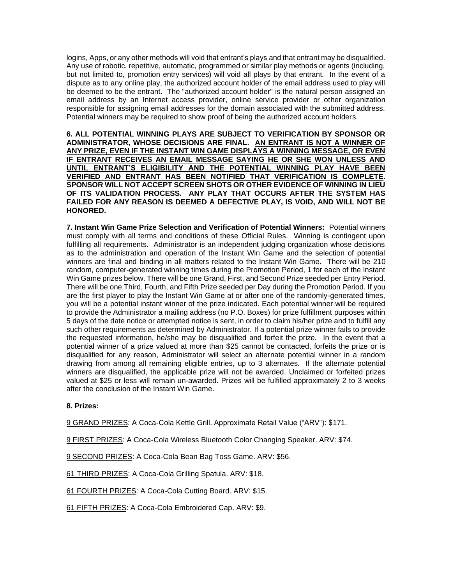logins, Apps, or any other methods will void that entrant's plays and that entrant may be disqualified. Any use of robotic, repetitive, automatic, programmed or similar play methods or agents (including, but not limited to, promotion entry services) will void all plays by that entrant. In the event of a dispute as to any online play, the authorized account holder of the email address used to play will be deemed to be the entrant. The "authorized account holder" is the natural person assigned an email address by an Internet access provider, online service provider or other organization responsible for assigning email addresses for the domain associated with the submitted address. Potential winners may be required to show proof of being the authorized account holders.

**6. ALL POTENTIAL WINNING PLAYS ARE SUBJECT TO VERIFICATION BY SPONSOR OR ADMINISTRATOR, WHOSE DECISIONS ARE FINAL. AN ENTRANT IS NOT A WINNER OF ANY PRIZE, EVEN IF THE INSTANT WIN GAME DISPLAYS A WINNING MESSAGE, OR EVEN IF ENTRANT RECEIVES AN EMAIL MESSAGE SAYING HE OR SHE WON UNLESS AND UNTIL ENTRANT'S ELIGIBILITY AND THE POTENTIAL WINNING PLAY HAVE BEEN VERIFIED AND ENTRANT HAS BEEN NOTIFIED THAT VERIFICATION IS COMPLETE. SPONSOR WILL NOT ACCEPT SCREEN SHOTS OR OTHER EVIDENCE OF WINNING IN LIEU OF ITS VALIDATION PROCESS. ANY PLAY THAT OCCURS AFTER THE SYSTEM HAS FAILED FOR ANY REASON IS DEEMED A DEFECTIVE PLAY, IS VOID, AND WILL NOT BE HONORED.**

**7. Instant Win Game Prize Selection and Verification of Potential Winners:** Potential winners must comply with all terms and conditions of these Official Rules. Winning is contingent upon fulfilling all requirements. Administrator is an independent judging organization whose decisions as to the administration and operation of the Instant Win Game and the selection of potential winners are final and binding in all matters related to the Instant Win Game. There will be 210 random, computer-generated winning times during the Promotion Period, 1 for each of the Instant Win Game prizes below. There will be one Grand, First, and Second Prize seeded per Entry Period. There will be one Third, Fourth, and Fifth Prize seeded per Day during the Promotion Period. If you are the first player to play the Instant Win Game at or after one of the randomly-generated times, you will be a potential instant winner of the prize indicated. Each potential winner will be required to provide the Administrator a mailing address (no P.O. Boxes) for prize fulfillment purposes within 5 days of the date notice or attempted notice is sent, in order to claim his/her prize and to fulfill any such other requirements as determined by Administrator. If a potential prize winner fails to provide the requested information, he/she may be disqualified and forfeit the prize. In the event that a potential winner of a prize valued at more than \$25 cannot be contacted, forfeits the prize or is disqualified for any reason, Administrator will select an alternate potential winner in a random drawing from among all remaining eligible entries, up to 3 alternates. If the alternate potential winners are disqualified, the applicable prize will not be awarded. Unclaimed or forfeited prizes valued at \$25 or less will remain un-awarded. Prizes will be fulfilled approximately 2 to 3 weeks after the conclusion of the Instant Win Game.

## **8. Prizes:**

9 GRAND PRIZES: A Coca-Cola Kettle Grill. Approximate Retail Value ("ARV"): \$171.

9 FIRST PRIZES: A Coca-Cola Wireless Bluetooth Color Changing Speaker. ARV: \$74.

9 SECOND PRIZES: A Coca-Cola Bean Bag Toss Game. ARV: \$56.

61 THIRD PRIZES: A Coca-Cola Grilling Spatula. ARV: \$18.

61 FOURTH PRIZES: A Coca-Cola Cutting Board. ARV: \$15.

61 FIFTH PRIZES: A Coca-Cola Embroidered Cap. ARV: \$9.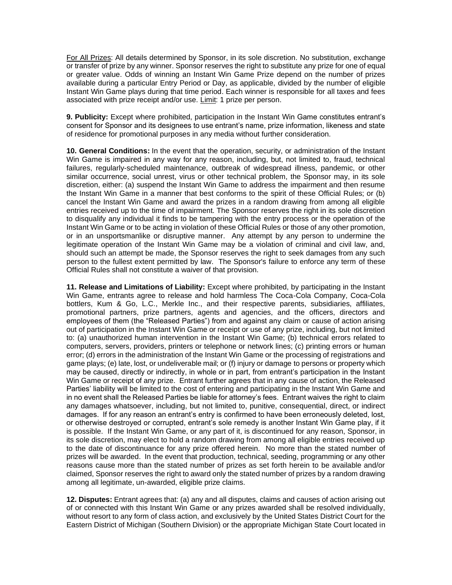For All Prizes: All details determined by Sponsor, in its sole discretion. No substitution, exchange or transfer of prize by any winner. Sponsor reserves the right to substitute any prize for one of equal or greater value. Odds of winning an Instant Win Game Prize depend on the number of prizes available during a particular Entry Period or Day, as applicable, divided by the number of eligible Instant Win Game plays during that time period. Each winner is responsible for all taxes and fees associated with prize receipt and/or use. Limit: 1 prize per person.

**9. Publicity:** Except where prohibited, participation in the Instant Win Game constitutes entrant's consent for Sponsor and its designees to use entrant's name, prize information, likeness and state of residence for promotional purposes in any media without further consideration.

**10. General Conditions:** In the event that the operation, security, or administration of the Instant Win Game is impaired in any way for any reason, including, but, not limited to, fraud, technical failures, regularly-scheduled maintenance, outbreak of widespread illness, pandemic, or other similar occurrence, social unrest, virus or other technical problem, the Sponsor may, in its sole discretion, either: (a) suspend the Instant Win Game to address the impairment and then resume the Instant Win Game in a manner that best conforms to the spirit of these Official Rules; or (b) cancel the Instant Win Game and award the prizes in a random drawing from among all eligible entries received up to the time of impairment. The Sponsor reserves the right in its sole discretion to disqualify any individual it finds to be tampering with the entry process or the operation of the Instant Win Game or to be acting in violation of these Official Rules or those of any other promotion, or in an unsportsmanlike or disruptive manner. Any attempt by any person to undermine the legitimate operation of the Instant Win Game may be a violation of criminal and civil law, and, should such an attempt be made, the Sponsor reserves the right to seek damages from any such person to the fullest extent permitted by law. The Sponsor's failure to enforce any term of these Official Rules shall not constitute a waiver of that provision.

**11. Release and Limitations of Liability:** Except where prohibited, by participating in the Instant Win Game, entrants agree to release and hold harmless The Coca-Cola Company, Coca-Cola bottlers, Kum & Go, L.C., Merkle Inc., and their respective parents, subsidiaries, affiliates, promotional partners, prize partners, agents and agencies, and the officers, directors and employees of them (the "Released Parties") from and against any claim or cause of action arising out of participation in the Instant Win Game or receipt or use of any prize, including, but not limited to: (a) unauthorized human intervention in the Instant Win Game; (b) technical errors related to computers, servers, providers, printers or telephone or network lines; (c) printing errors or human error; (d) errors in the administration of the Instant Win Game or the processing of registrations and game plays; (e) late, lost, or undeliverable mail; or (f) injury or damage to persons or property which may be caused, directly or indirectly, in whole or in part, from entrant's participation in the Instant Win Game or receipt of any prize. Entrant further agrees that in any cause of action, the Released Parties' liability will be limited to the cost of entering and participating in the Instant Win Game and in no event shall the Released Parties be liable for attorney's fees. Entrant waives the right to claim any damages whatsoever, including, but not limited to, punitive, consequential, direct, or indirect damages. If for any reason an entrant's entry is confirmed to have been erroneously deleted, lost, or otherwise destroyed or corrupted, entrant's sole remedy is another Instant Win Game play, if it is possible. If the Instant Win Game, or any part of it, is discontinued for any reason, Sponsor, in its sole discretion, may elect to hold a random drawing from among all eligible entries received up to the date of discontinuance for any prize offered herein. No more than the stated number of prizes will be awarded. In the event that production, technical, seeding, programming or any other reasons cause more than the stated number of prizes as set forth herein to be available and/or claimed, Sponsor reserves the right to award only the stated number of prizes by a random drawing among all legitimate, un-awarded, eligible prize claims.

**12. Disputes:** Entrant agrees that: (a) any and all disputes, claims and causes of action arising out of or connected with this Instant Win Game or any prizes awarded shall be resolved individually, without resort to any form of class action, and exclusively by the United States District Court for the Eastern District of Michigan (Southern Division) or the appropriate Michigan State Court located in